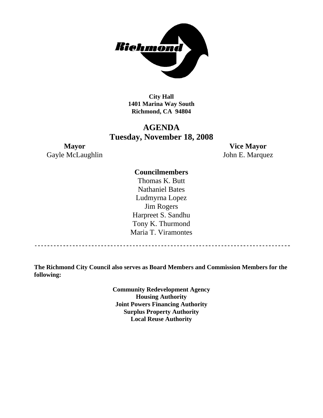

**City Hall 1401 Marina Way South Richmond, CA 94804** 

# **AGENDA Tuesday, November 18, 2008**

Gayle McLaughlin John E. Marquez

**Mayor Vice Mayor** 

# **Councilmembers**

Thomas K. Butt Nathaniel Bates Ludmyrna Lopez Jim Rogers Harpreet S. Sandhu Tony K. Thurmond Maria T. Viramontes

**The Richmond City Council also serves as Board Members and Commission Members for the following:** 

> **Community Redevelopment Agency Housing Authority Joint Powers Financing Authority Surplus Property Authority Local Reuse Authority**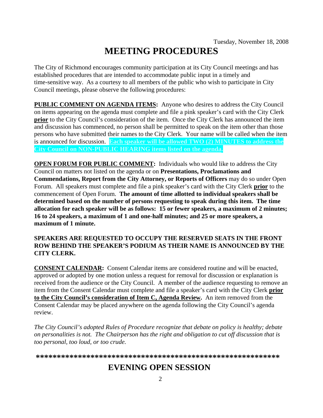# **MEETING PROCEDURES**

The City of Richmond encourages community participation at its City Council meetings and has established procedures that are intended to accommodate public input in a timely and time-sensitive way. As a courtesy to all members of the public who wish to participate in City Council meetings, please observe the following procedures:

**PUBLIC COMMENT ON AGENDA ITEMS:** Anyone who desires to address the City Council on items appearing on the agenda must complete and file a pink speaker's card with the City Clerk **prior** to the City Council's consideration of the item. Once the City Clerk has announced the item and discussion has commenced, no person shall be permitted to speak on the item other than those persons who have submitted their names to the City Clerk. Your name will be called when the item is announced for discussion. **Each speaker will be allowed TWO (2) MINUTES to address the City Council on NON-PUBLIC HEARING items listed on the agenda.** 

**OPEN FORUM FOR PUBLIC COMMENT:** Individuals who would like to address the City Council on matters not listed on the agenda or on **Presentations, Proclamations and Commendations, Report from the City Attorney, or Reports of Officers** may do so under Open Forum. All speakers must complete and file a pink speaker's card with the City Clerk **prior** to the commencement of Open Forum. **The amount of time allotted to individual speakers shall be determined based on the number of persons requesting to speak during this item. The time allocation for each speaker will be as follows: 15 or fewer speakers, a maximum of 2 minutes; 16 to 24 speakers, a maximum of 1 and one-half minutes; and 25 or more speakers, a maximum of 1 minute.** 

# **SPEAKERS ARE REQUESTED TO OCCUPY THE RESERVED SEATS IN THE FRONT ROW BEHIND THE SPEAKER'S PODIUM AS THEIR NAME IS ANNOUNCED BY THE CITY CLERK.**

**CONSENT CALENDAR:** Consent Calendar items are considered routine and will be enacted, approved or adopted by one motion unless a request for removal for discussion or explanation is received from the audience or the City Council. A member of the audience requesting to remove an item from the Consent Calendar must complete and file a speaker's card with the City Clerk **prior to the City Council's consideration of Item C, Agenda Review.** An item removed from the Consent Calendar may be placed anywhere on the agenda following the City Council's agenda review.

*The City Council's adopted Rules of Procedure recognize that debate on policy is healthy; debate on personalities is not. The Chairperson has the right and obligation to cut off discussion that is too personal, too loud, or too crude.* 

**\*\*\*\*\*\*\*\*\*\*\*\*\*\*\*\*\*\*\*\*\*\*\*\*\*\*\*\*\*\*\*\*\*\*\*\*\*\*\*\*\*\*\*\*\*\*\*\*\*\*\*\*\*\*\*\*\*\***

# **EVENING OPEN SESSION**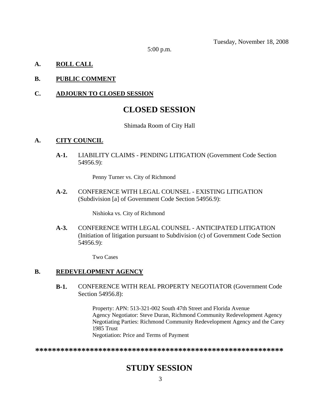Tuesday, November 18, 2008

5:00 p.m.

# **A. ROLL CALL**

# **B. PUBLIC COMMENT**

### **C. ADJOURN TO CLOSED SESSION**

# **CLOSED SESSION**

#### Shimada Room of City Hall

# **A. CITY COUNCIL**

**A-1.** LIABILITY CLAIMS - PENDING LITIGATION (Government Code Section 54956.9):

Penny Turner vs. City of Richmond

**A-2.** CONFERENCE WITH LEGAL COUNSEL - EXISTING LITIGATION (Subdivision [a] of Government Code Section 54956.9):

Nishioka vs. City of Richmond

**A-3.** CONFERENCE WITH LEGAL COUNSEL - ANTICIPATED LITIGATION (Initiation of litigation pursuant to Subdivision (c) of Government Code Section 54956.9):

Two Cases

# **B. REDEVELOPMENT AGENCY**

**B-1.** CONFERENCE WITH REAL PROPERTY NEGOTIATOR (Government Code Section 54956.8):

> Property: APN: 513-321-002 South 47th Street and Florida Avenue Agency Negotiator: Steve Duran, Richmond Community Redevelopment Agency Negotiating Parties: Richmond Community Redevelopment Agency and the Carey 1985 Trust Negotiation: Price and Terms of Payment

**\*\*\*\*\*\*\*\*\*\*\*\*\*\*\*\*\*\*\*\*\*\*\*\*\*\*\*\*\*\*\*\*\*\*\*\*\*\*\*\*\*\*\*\*\*\*\*\*\*\*\*\*\*\*\*\*\*\*\***

# **STUDY SESSION**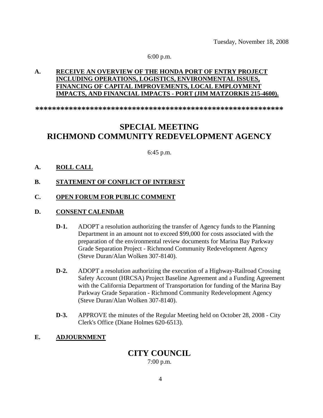Tuesday, November 18, 2008

#### 6:00 p.m.

# **A. RECEIVE AN OVERVIEW OF THE HONDA PORT OF ENTRY PROJECT INCLUDING OPERATIONS, LOGISTICS, ENVIRONMENTAL ISSUES, FINANCING OF CAPITAL IMPROVEMENTS, LOCAL EMPLOYMENT IMPACTS, AND FINANCIAL IMPACTS - PORT (JIM MATZORKIS 215-4600).**

**\*\*\*\*\*\*\*\*\*\*\*\*\*\*\*\*\*\*\*\*\*\*\*\*\*\*\*\*\*\*\*\*\*\*\*\*\*\*\*\*\*\*\*\*\*\*\*\*\*\*\*\*\*\*\*\*\*\*\***

# **SPECIAL MEETING RICHMOND COMMUNITY REDEVELOPMENT AGENCY**

6:45 p.m.

### **A. ROLL CALL**

#### **B. STATEMENT OF CONFLICT OF INTEREST**

#### **C. OPEN FORUM FOR PUBLIC COMMENT**

#### **D. CONSENT CALENDAR**

- **D-1.** ADOPT a resolution authorizing the transfer of Agency funds to the Planning Department in an amount not to exceed \$99,000 for costs associated with the preparation of the environmental review documents for Marina Bay Parkway Grade Separation Project - Richmond Community Redevelopment Agency (Steve Duran/Alan Wolken 307-8140).
- **D-2.** ADOPT a resolution authorizing the execution of a Highway-Railroad Crossing Safety Account (HRCSA) Project Baseline Agreement and a Funding Agreement with the California Department of Transportation for funding of the Marina Bay Parkway Grade Separation - Richmond Community Redevelopment Agency (Steve Duran/Alan Wolken 307-8140).
- **D-3.** APPROVE the minutes of the Regular Meeting held on October 28, 2008 City Clerk's Office (Diane Holmes 620-6513).

# **E. ADJOURNMENT**

# **CITY COUNCIL**

7:00 p.m.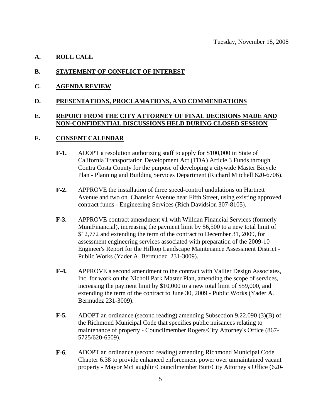#### **A. ROLL CALL**

#### **B. STATEMENT OF CONFLICT OF INTEREST**

**C. AGENDA REVIEW**

#### **D. PRESENTATIONS, PROCLAMATIONS, AND COMMENDATIONS**

#### **E. REPORT FROM THE CITY ATTORNEY OF FINAL DECISIONS MADE AND NON-CONFIDENTIAL DISCUSSIONS HELD DURING CLOSED SESSION**

#### **F. CONSENT CALENDAR**

- **F-1.** ADOPT a resolution authorizing staff to apply for \$100,000 in State of California Transportation Development Act (TDA) Article 3 Funds through Contra Costa County for the purpose of developing a citywide Master Bicycle Plan - Planning and Building Services Department (Richard Mitchell 620-6706).
- **F-2.** APPROVE the installation of three speed-control undulations on Hartnett Avenue and two on Chanslor Avenue near Fifth Street, using existing approved contract funds - Engineering Services (Rich Davidsion 307-8105).
- **F-3.** APPROVE contract amendment #1 with Willdan Financial Services (formerly MuniFinancial), increasing the payment limit by \$6,500 to a new total limit of \$12,772 and extending the term of the contract to December 31, 2009, for assessment engineering services associated with preparation of the 2009-10 Engineer's Report for the Hilltop Landscape Maintenance Assessment District - Public Works (Yader A. Bermudez 231-3009).
- **F-4.** APPROVE a second amendment to the contract with Vallier Design Associates, Inc. for work on the Nicholl Park Master Plan, amending the scope of services, increasing the payment limit by \$10,000 to a new total limit of \$59,000, and extending the term of the contract to June 30, 2009 - Public Works (Yader A. Bermudez 231-3009).
- **F-5.** ADOPT an ordinance (second reading) amending Subsection 9.22.090 (3)(B) of the Richmond Municipal Code that specifies public nuisances relating to maintenance of property - Councilmember Rogers/City Attorney's Office (867- 5725/620-6509).
- **F-6.** ADOPT an ordinance (second reading) amending Richmond Municipal Code Chapter 6.38 to provide enhanced enforcement power over unmaintained vacant property - Mayor McLaughlin/Councilmember Butt/City Attorney's Office (620-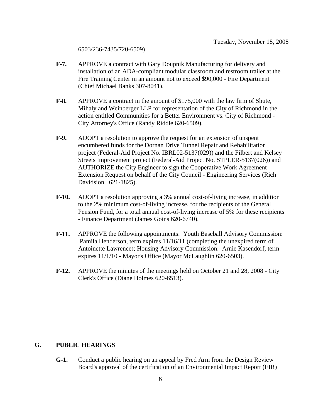6503/236-7435/720-6509).

- **F-7.** APPROVE a contract with Gary Doupnik Manufacturing for delivery and installation of an ADA-compliant modular classroom and restroom trailer at the Fire Training Center in an amount not to exceed \$90,000 - Fire Department (Chief Michael Banks 307-8041).
- **F-8.** APPROVE a contract in the amount of \$175,000 with the law firm of Shute, Mihaly and Weinberger LLP for representation of the City of Richmond in the action entitled Communities for a Better Environment vs. City of Richmond - City Attorney's Office (Randy Riddle 620-6509).
- **F-9.** ADOPT a resolution to approve the request for an extension of unspent encumbered funds for the Dornan Drive Tunnel Repair and Rehabilitation project (Federal-Aid Project No. IBRL02-5137(029)) and the Filbert and Kelsey Streets Improvement project (Federal-Aid Project No. STPLER-5137(026)) and AUTHORIZE the City Engineer to sign the Cooperative Work Agreement Extension Request on behalf of the City Council - Engineering Services (Rich Davidsion, 621-1825).
- **F-10.** ADOPT a resolution approving a 3% annual cost-of-living increase, in addition to the 2% minimum cost-of-living increase, for the recipients of the General Pension Fund, for a total annual cost-of-living increase of 5% for these recipients - Finance Department (James Goins 620-6740).
- **F-11.** APPROVE the following appointments: Youth Baseball Advisory Commission: Pamila Henderson, term expires 11/16/11 (completing the unexpired term of Antoinette Lawrence); Housing Advisory Commission: Arnie Kasendorf, term expires 11/1/10 - Mayor's Office (Mayor McLaughlin 620-6503).
- **F-12.** APPROVE the minutes of the meetings held on October 21 and 28, 2008 City Clerk's Office (Diane Holmes 620-6513).

#### **G. PUBLIC HEARINGS**

**G-1.** Conduct a public hearing on an appeal by Fred Arm from the Design Review Board's approval of the certification of an Environmental Impact Report (EIR)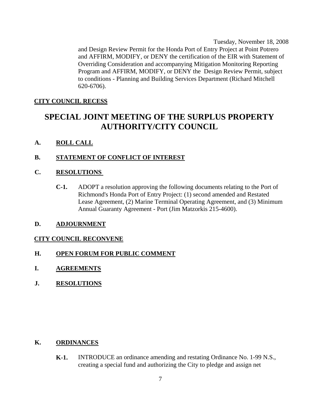Tuesday, November 18, 2008 and Design Review Permit for the Honda Port of Entry Project at Point Potrero and AFFIRM, MODIFY, or DENY the certification of the EIR with Statement of Overriding Consideration and accompanying Mitigation Monitoring Reporting Program and AFFIRM, MODIFY, or DENY the Design Review Permit, subject to conditions - Planning and Building Services Department (Richard Mitchell 620-6706).

#### **CITY COUNCIL RECESS**

# **SPECIAL JOINT MEETING OF THE SURPLUS PROPERTY AUTHORITY/CITY COUNCIL**

#### **A. ROLL CALL**

#### **B. STATEMENT OF CONFLICT OF INTEREST**

### **C. RESOLUTIONS**

**C-1.** ADOPT a resolution approving the following documents relating to the Port of Richmond's Honda Port of Entry Project: (1) second amended and Restated Lease Agreement, (2) Marine Terminal Operating Agreement, and (3) Minimum Annual Guaranty Agreement - Port (Jim Matzorkis 215-4600).

#### **D. ADJOURNMENT**

#### **CITY COUNCIL RECONVENE**

#### **H. OPEN FORUM FOR PUBLIC COMMENT**

- **I. AGREEMENTS**
- **J. RESOLUTIONS**

### **K. ORDINANCES**

**K-1.** INTRODUCE an ordinance amending and restating Ordinance No. 1-99 N.S., creating a special fund and authorizing the City to pledge and assign net